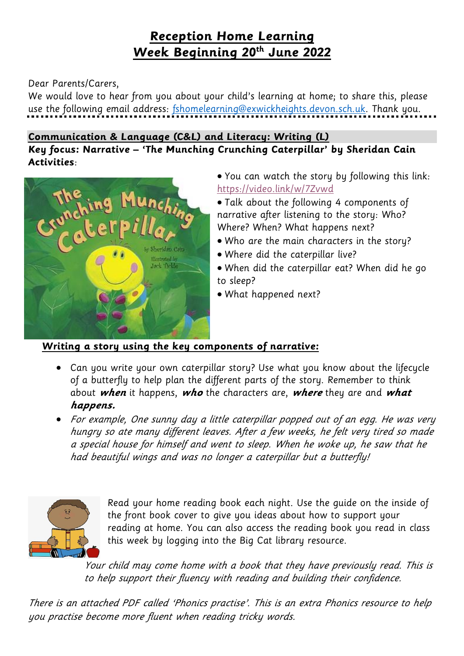## **Reception Home Learning Week Beginning 20th June 2022**

#### Dear Parents/Carers,

We would love to hear from you about your child's learning at home; to share this, please use the following email address: [fshomelearning@exwickheights.devon.sch.uk.](mailto:fshomelearning@exwickheights.devon.sch.uk) Thank you.

#### **Communication & Language (C&L) and Literacy: Writing (L)**

**Key focus: Narrative – 'The Munching Crunching Caterpillar' by Sheridan Cain Activities**:



- You can watch the story by following this link: <https://video.link/w/7Zvwd>
- Talk about the following 4 components of narrative after listening to the story: Who? Where? When? What happens next?
- Who are the main characters in the story?
- Where did the caterpillar live?
- When did the caterpillar eat? When did he go to sleep?
- What happened next?

#### **Writing a story using the key components of narrative:**

- Can you write your own caterpillar story? Use what you know about the lifecycle of a butterfly to help plan the different parts of the story. Remember to think about **when** it happens, **who** the characters are, **where** they are and **what happens.**
- For example, One sunny day a little caterpillar popped out of an egg. He was very hungry so ate many different leaves. After <sup>a</sup> few weeks, he felt very tired so made <sup>a</sup> special house for himself and went to sleep. When he woke up, he saw that he had beautiful wings and was no longer <sup>a</sup> caterpillar but <sup>a</sup> butterfly!



Read your home reading book each night. Use the guide on the inside of the front book cover to give you ideas about how to support your reading at home. You can also access the reading book you read in class this week by logging into the Big Cat library resource.

Your child may come home with a book that they have previously read. This is to help support their fluency with reading and building their confidence.

There is an attached PDF called 'Phonics practise'. This is an extra Phonics resource to help you practise become more fluent when reading tricky words.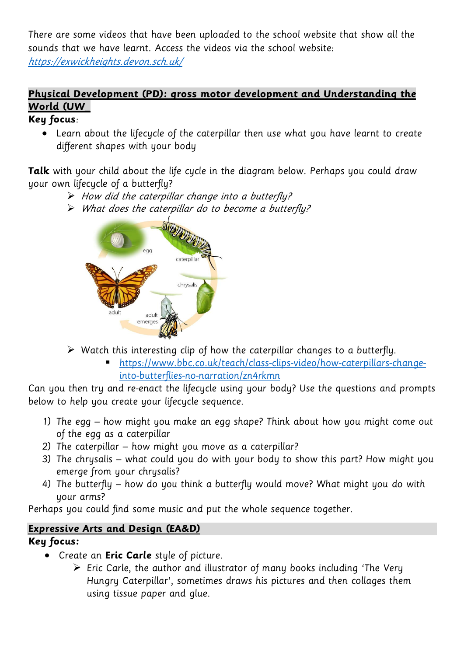There are some videos that have been uploaded to the school website that show all the sounds that we have learnt. Access the videos via the school website:

<https://exwickheights.devon.sch.uk/>

## **Physical Development (PD): gross motor development and Understanding the World (UW\_**

#### **Key focus**:

 Learn about the lifecycle of the caterpillar then use what you have learnt to create different shapes with your body

**Talk** with your child about the life cycle in the diagram below. Perhaps you could draw your own lifecycle of a butterfly?

- $\triangleright$  How did the caterpillar change into a butterfly?
- What does the caterpillar do to become a butterfly?



- $\triangleright$  Watch this interesting clip of how the caterpillar changes to a butterfly.
	- [https://www.bbc.co.uk/teach/class-clips-video/how-caterpillars-change](https://www.bbc.co.uk/teach/class-clips-video/how-caterpillars-change-into-butterflies-no-narration/zn4rkmn)[into-butterflies-no-narration/zn4rkmn](https://www.bbc.co.uk/teach/class-clips-video/how-caterpillars-change-into-butterflies-no-narration/zn4rkmn)

Can you then try and re-enact the lifecycle using your body? Use the questions and prompts below to help you create your lifecycle sequence.

- 1) The egg how might you make an egg shape? Think about how you might come out of the egg as a caterpillar
- 2) The caterpillar how might you move as a caterpillar?
- 3) The chrysalis what could you do with your body to show this part? How might you emerge from your chrysalis?
- 4) The butterfly how do you think a butterfly would move? What might you do with your arms?

Perhaps you could find some music and put the whole sequence together.

### **Expressive Arts and Design (EA&D)**

#### **Key focus:**

- Create an **Eric Carle** style of picture.
	- $\triangleright$  Eric Carle, the author and illustrator of many books including 'The Very Hungry Caterpillar', sometimes draws his pictures and then collages them using tissue paper and glue.